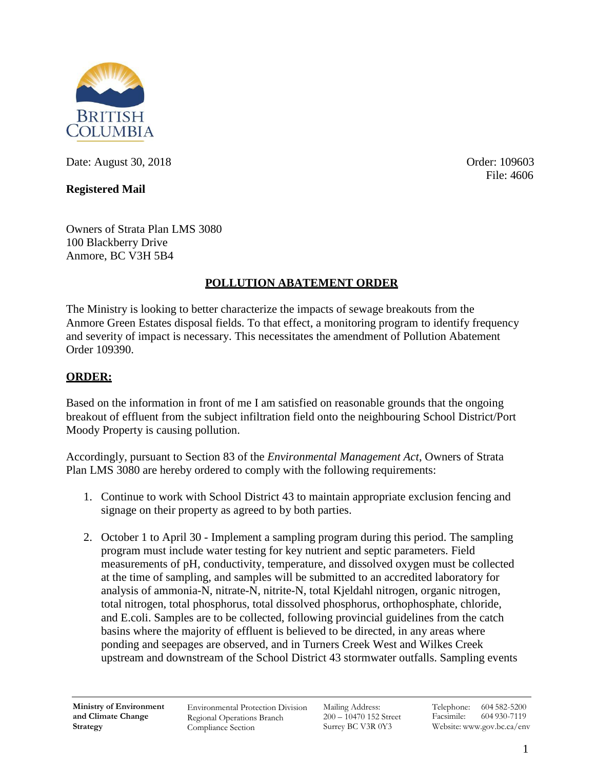

Date: August 30, 2018 Order: 109603

## **Registered Mail**

File: 4606

Owners of Strata Plan LMS 3080 100 Blackberry Drive Anmore, BC V3H 5B4

## **POLLUTION ABATEMENT ORDER**

The Ministry is looking to better characterize the impacts of sewage breakouts from the Anmore Green Estates disposal fields. To that effect, a monitoring program to identify frequency and severity of impact is necessary. This necessitates the amendment of Pollution Abatement Order 109390.

## **ORDER:**

Based on the information in front of me I am satisfied on reasonable grounds that the ongoing breakout of effluent from the subject infiltration field onto the neighbouring School District/Port Moody Property is causing pollution.

Accordingly, pursuant to Section 83 of the *Environmental Management Act*, Owners of Strata Plan LMS 3080 are hereby ordered to comply with the following requirements:

- 1. Continue to work with School District 43 to maintain appropriate exclusion fencing and signage on their property as agreed to by both parties.
- 2. October 1 to April 30 Implement a sampling program during this period. The sampling program must include water testing for key nutrient and septic parameters. Field measurements of pH, conductivity, temperature, and dissolved oxygen must be collected at the time of sampling, and samples will be submitted to an accredited laboratory for analysis of ammonia-N, nitrate-N, nitrite-N, total Kjeldahl nitrogen, organic nitrogen, total nitrogen, total phosphorus, total dissolved phosphorus, orthophosphate, chloride, and E.coli. Samples are to be collected, following provincial guidelines from the catch basins where the majority of effluent is believed to be directed, in any areas where ponding and seepages are observed, and in Turners Creek West and Wilkes Creek upstream and downstream of the School District 43 stormwater outfalls. Sampling events

Environmental Protection Division Regional Operations Branch Compliance Section

Mailing Address: 200 – 10470 152 Street Surrey BC V3R 0Y3

Telephone: 604 582-5200 Facsimile: 604 930-7119 Website: [www.gov.bc.ca/env](http://www.gov.bc.ca/env)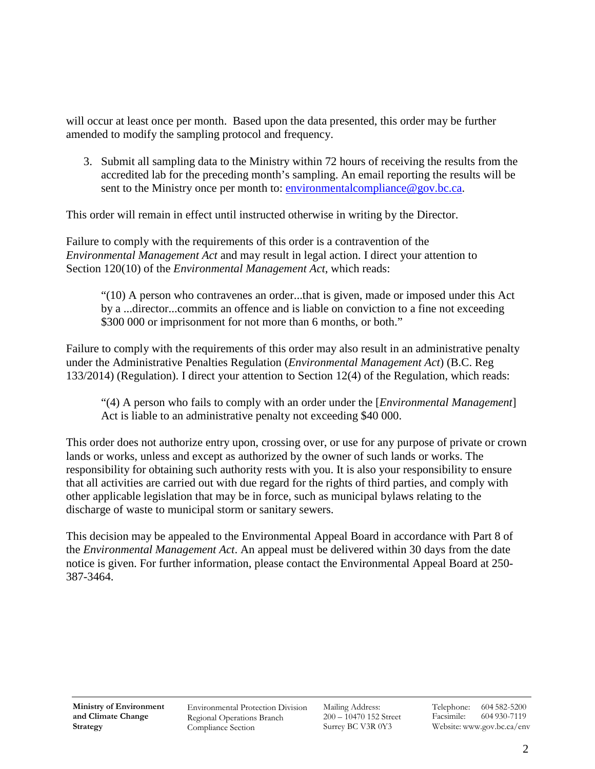will occur at least once per month. Based upon the data presented, this order may be further amended to modify the sampling protocol and frequency.

3. Submit all sampling data to the Ministry within 72 hours of receiving the results from the accredited lab for the preceding month's sampling. An email reporting the results will be sent to the Ministry once per month to: [environmentalcompliance@gov.bc.ca.](mailto:environmentalcompliance@gov.bc.ca)

This order will remain in effect until instructed otherwise in writing by the Director.

Failure to comply with the requirements of this order is a contravention of the *Environmental Management Act* and may result in legal action. I direct your attention to Section 120(10) of the *Environmental Management Act*, which reads:

"(10) A person who contravenes an order...that is given, made or imposed under this Act by a ...director...commits an offence and is liable on conviction to a fine not exceeding \$300 000 or imprisonment for not more than 6 months, or both."

Failure to comply with the requirements of this order may also result in an administrative penalty under the Administrative Penalties Regulation (*Environmental Management Act*) (B.C. Reg 133/2014) (Regulation). I direct your attention to Section 12(4) of the Regulation, which reads:

"(4) A person who fails to comply with an order under the [*Environmental Management*] Act is liable to an administrative penalty not exceeding \$40 000.

This order does not authorize entry upon, crossing over, or use for any purpose of private or crown lands or works, unless and except as authorized by the owner of such lands or works. The responsibility for obtaining such authority rests with you. It is also your responsibility to ensure that all activities are carried out with due regard for the rights of third parties, and comply with other applicable legislation that may be in force, such as municipal bylaws relating to the discharge of waste to municipal storm or sanitary sewers.

This decision may be appealed to the Environmental Appeal Board in accordance with Part 8 of the *Environmental Management Act*. An appeal must be delivered within 30 days from the date notice is given. For further information, please contact the Environmental Appeal Board at 250- 387-3464.

Environmental Protection Division Regional Operations Branch Compliance Section

Mailing Address: 200 – 10470 152 Street Surrey BC V3R 0Y3

Telephone: 604 582-5200 Facsimile: 604 930-7119 Website: [www.gov.bc.ca/env](http://www.gov.bc.ca/env)